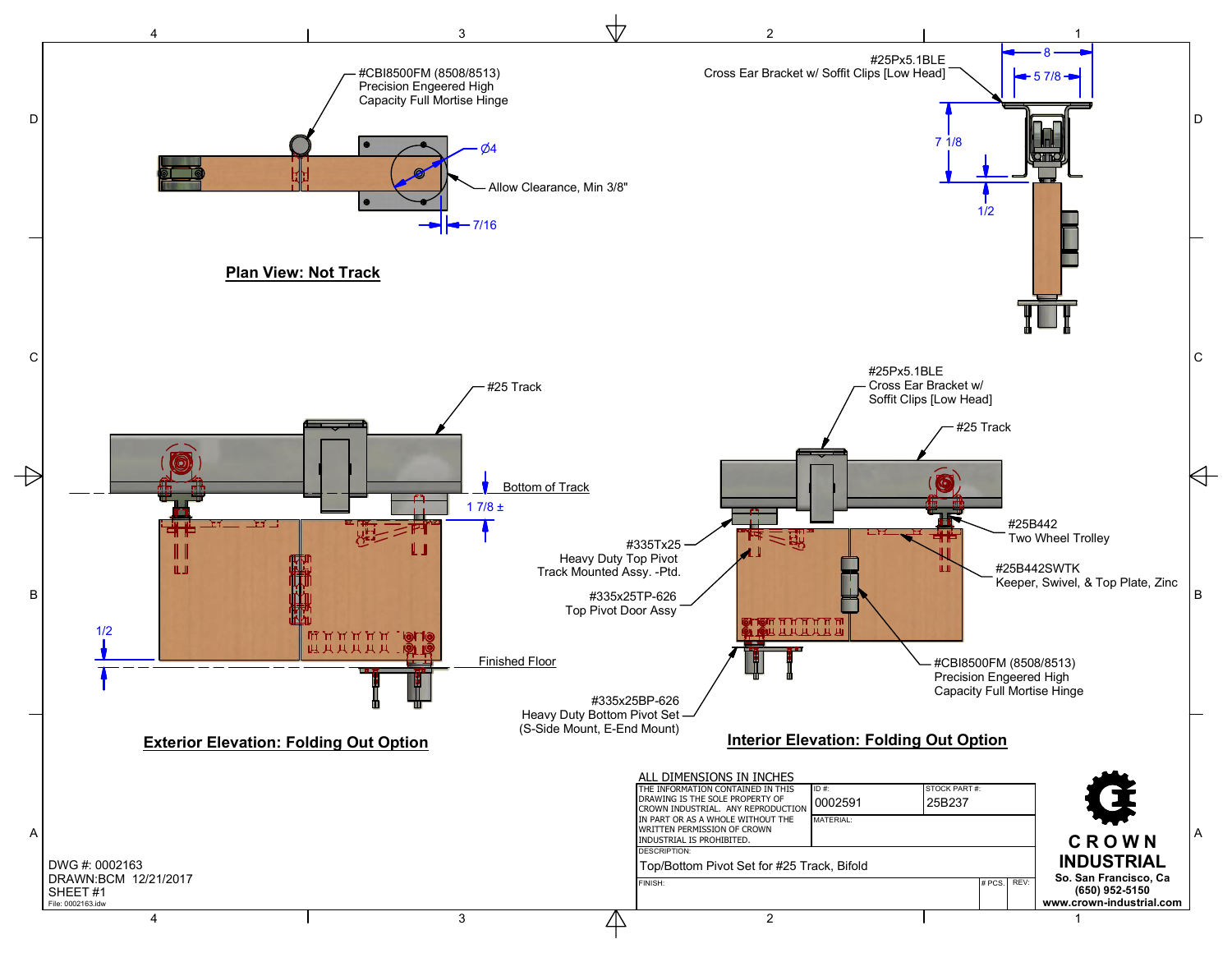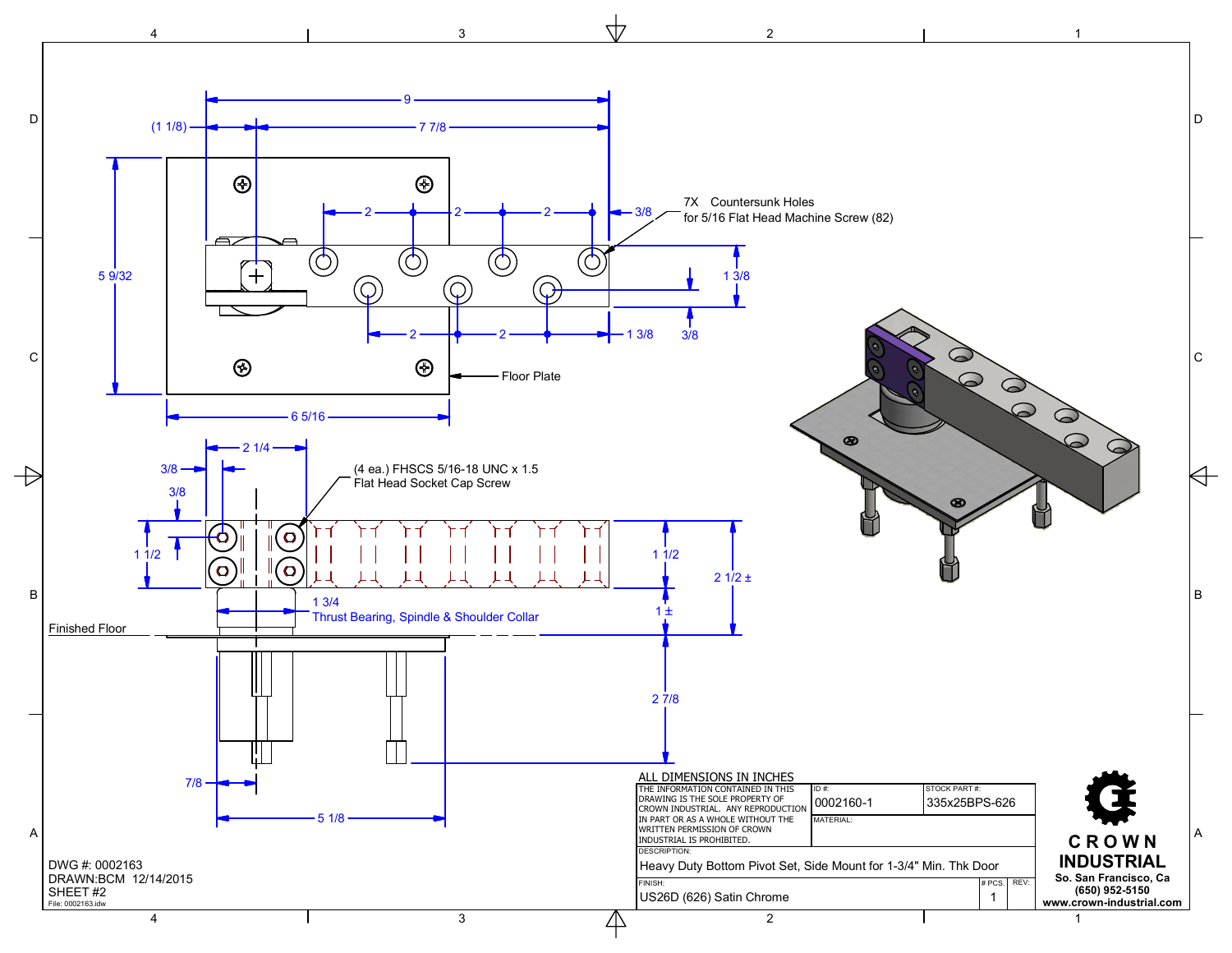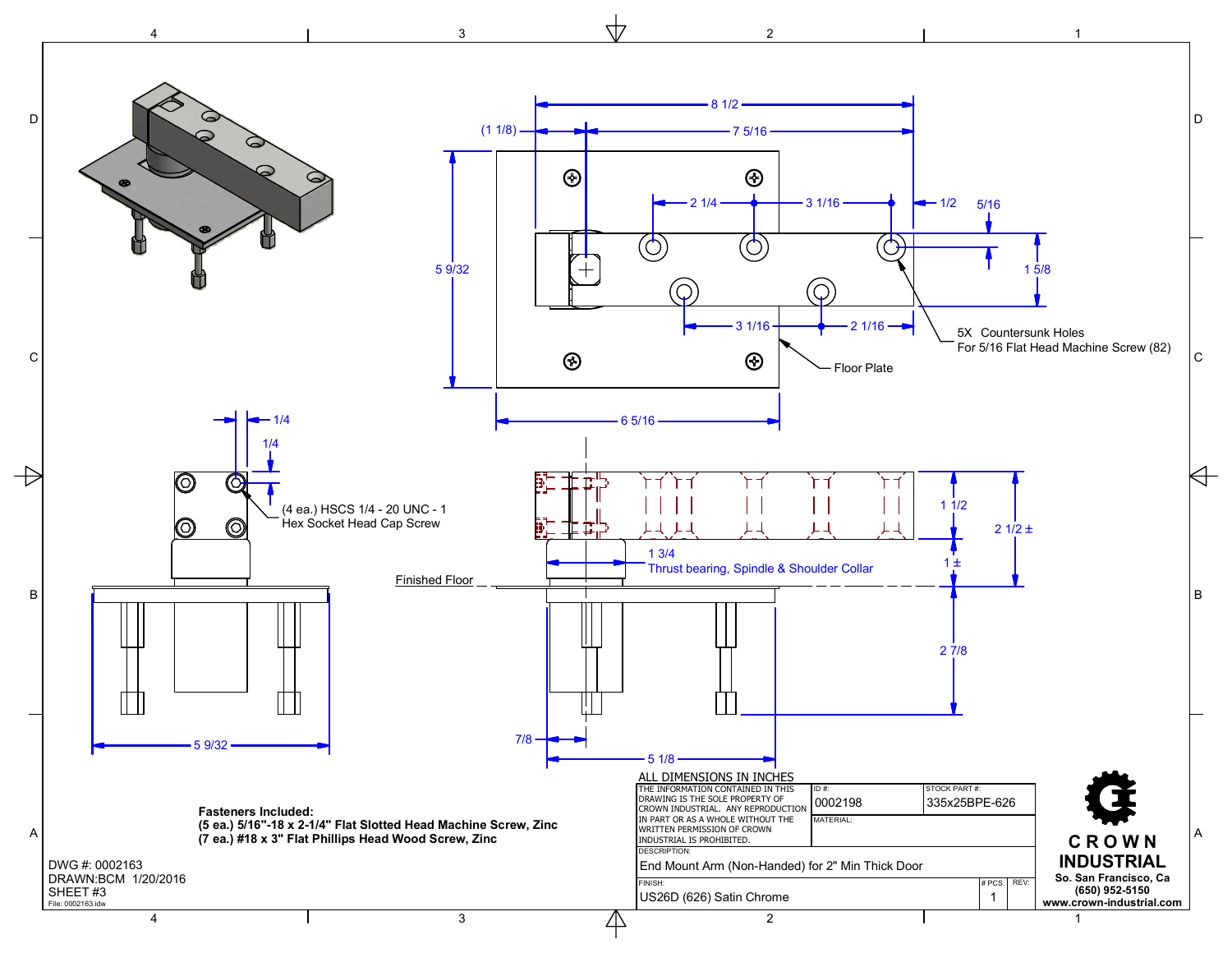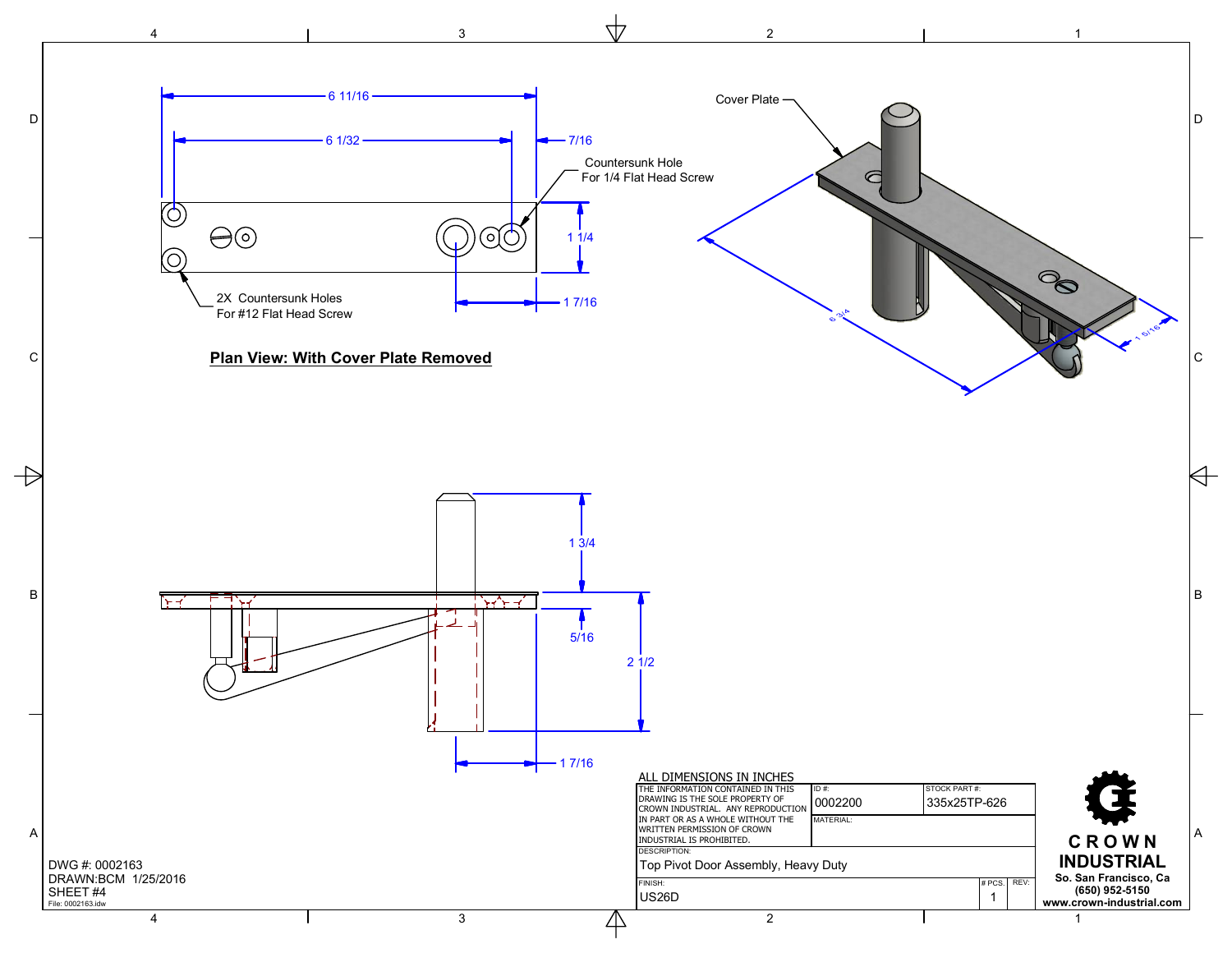